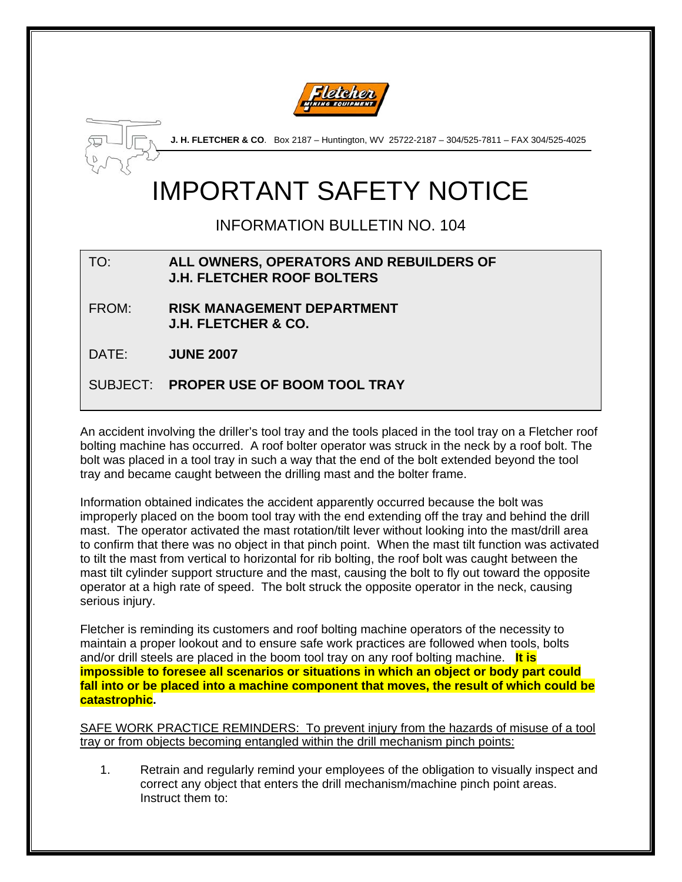



**J. H. FLETCHER & CO**. Box 2187 – Huntington, WV 25722-2187 – 304/525-7811 – FAX 304/525-4025

# IMPORTANT SAFETY NOTICE

## INFORMATION BULLETIN NO. 104

### TO: **ALL OWNERS, OPERATORS AND REBUILDERS OF J.H. FLETCHER ROOF BOLTERS**

FROM: **RISK MANAGEMENT DEPARTMENT J.H. FLETCHER & CO.** 

DATE: **JUNE 2007** 

SUBJECT: **PROPER USE OF BOOM TOOL TRAY** 

An accident involving the driller's tool tray and the tools placed in the tool tray on a Fletcher roof bolting machine has occurred. A roof bolter operator was struck in the neck by a roof bolt. The bolt was placed in a tool tray in such a way that the end of the bolt extended beyond the tool tray and became caught between the drilling mast and the bolter frame.

Information obtained indicates the accident apparently occurred because the bolt was improperly placed on the boom tool tray with the end extending off the tray and behind the drill mast. The operator activated the mast rotation/tilt lever without looking into the mast/drill area to confirm that there was no object in that pinch point. When the mast tilt function was activated to tilt the mast from vertical to horizontal for rib bolting, the roof bolt was caught between the mast tilt cylinder support structure and the mast, causing the bolt to fly out toward the opposite operator at a high rate of speed. The bolt struck the opposite operator in the neck, causing serious injury.

Fletcher is reminding its customers and roof bolting machine operators of the necessity to maintain a proper lookout and to ensure safe work practices are followed when tools, bolts and/or drill steels are placed in the boom tool tray on any roof bolting machine. **It is impossible to foresee all scenarios or situations in which an object or body part could fall into or be placed into a machine component that moves, the result of which could be catastrophic.**

SAFE WORK PRACTICE REMINDERS: To prevent injury from the hazards of misuse of a tool tray or from objects becoming entangled within the drill mechanism pinch points:

1. Retrain and regularly remind your employees of the obligation to visually inspect and correct any object that enters the drill mechanism/machine pinch point areas. Instruct them to: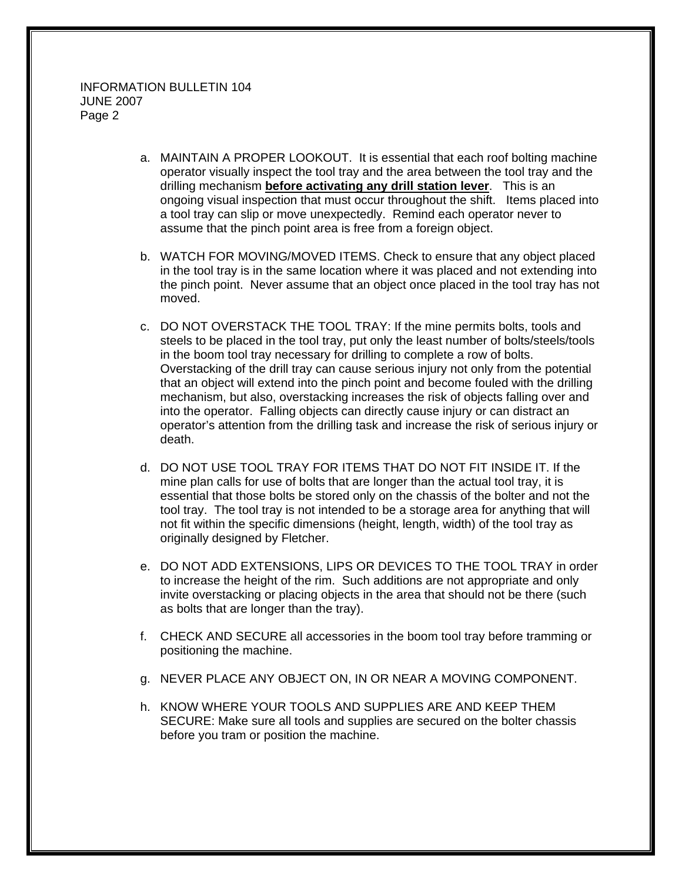- a. MAINTAIN A PROPER LOOKOUT. It is essential that each roof bolting machine operator visually inspect the tool tray and the area between the tool tray and the drilling mechanism **before activating any drill station lever**. This is an ongoing visual inspection that must occur throughout the shift. Items placed into a tool tray can slip or move unexpectedly. Remind each operator never to assume that the pinch point area is free from a foreign object.
- b. WATCH FOR MOVING/MOVED ITEMS. Check to ensure that any object placed in the tool tray is in the same location where it was placed and not extending into the pinch point. Never assume that an object once placed in the tool tray has not moved.
- c. DO NOT OVERSTACK THE TOOL TRAY: If the mine permits bolts, tools and steels to be placed in the tool tray, put only the least number of bolts/steels/tools in the boom tool tray necessary for drilling to complete a row of bolts. Overstacking of the drill tray can cause serious injury not only from the potential that an object will extend into the pinch point and become fouled with the drilling mechanism, but also, overstacking increases the risk of objects falling over and into the operator. Falling objects can directly cause injury or can distract an operator's attention from the drilling task and increase the risk of serious injury or death.
- d. DO NOT USE TOOL TRAY FOR ITEMS THAT DO NOT FIT INSIDE IT. If the mine plan calls for use of bolts that are longer than the actual tool tray, it is essential that those bolts be stored only on the chassis of the bolter and not the tool tray. The tool tray is not intended to be a storage area for anything that will not fit within the specific dimensions (height, length, width) of the tool tray as originally designed by Fletcher.
- e. DO NOT ADD EXTENSIONS, LIPS OR DEVICES TO THE TOOL TRAY in order to increase the height of the rim. Such additions are not appropriate and only invite overstacking or placing objects in the area that should not be there (such as bolts that are longer than the tray).
- f. CHECK AND SECURE all accessories in the boom tool tray before tramming or positioning the machine.
- g. NEVER PLACE ANY OBJECT ON, IN OR NEAR A MOVING COMPONENT.
- h. KNOW WHERE YOUR TOOLS AND SUPPLIES ARE AND KEEP THEM SECURE: Make sure all tools and supplies are secured on the bolter chassis before you tram or position the machine.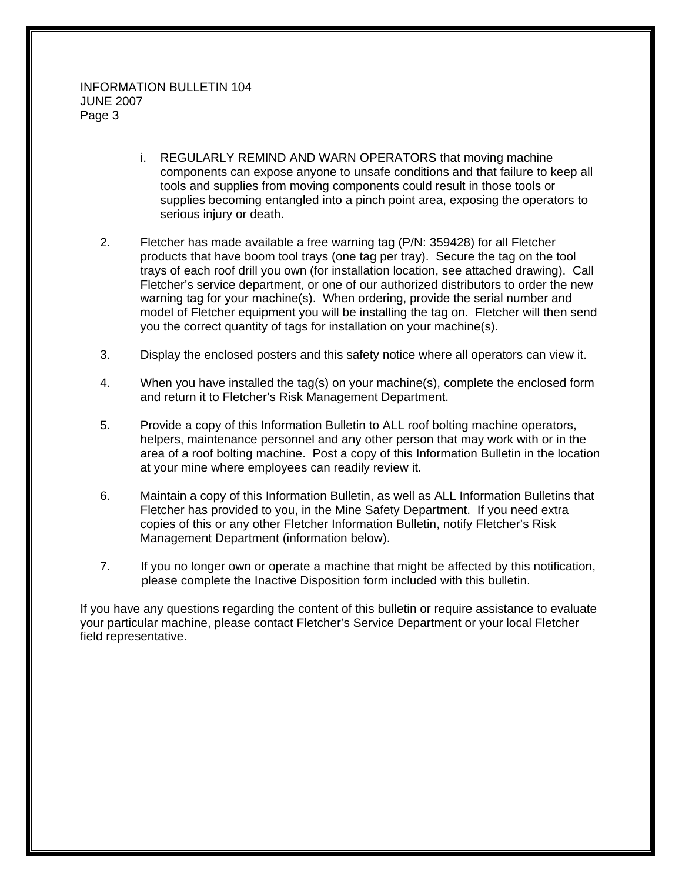- i. REGULARLY REMIND AND WARN OPERATORS that moving machine components can expose anyone to unsafe conditions and that failure to keep all tools and supplies from moving components could result in those tools or supplies becoming entangled into a pinch point area, exposing the operators to serious injury or death.
- 2. Fletcher has made available a free warning tag (P/N: 359428) for all Fletcher products that have boom tool trays (one tag per tray). Secure the tag on the tool trays of each roof drill you own (for installation location, see attached drawing). Call Fletcher's service department, or one of our authorized distributors to order the new warning tag for your machine(s). When ordering, provide the serial number and model of Fletcher equipment you will be installing the tag on. Fletcher will then send you the correct quantity of tags for installation on your machine(s).
- 3. Display the enclosed posters and this safety notice where all operators can view it.
- 4. When you have installed the tag(s) on your machine(s), complete the enclosed form and return it to Fletcher's Risk Management Department.
- 5. Provide a copy of this Information Bulletin to ALL roof bolting machine operators, helpers, maintenance personnel and any other person that may work with or in the area of a roof bolting machine. Post a copy of this Information Bulletin in the location at your mine where employees can readily review it.
- 6. Maintain a copy of this Information Bulletin, as well as ALL Information Bulletins that Fletcher has provided to you, in the Mine Safety Department. If you need extra copies of this or any other Fletcher Information Bulletin, notify Fletcher's Risk Management Department (information below).
- 7. If you no longer own or operate a machine that might be affected by this notification, please complete the Inactive Disposition form included with this bulletin.

If you have any questions regarding the content of this bulletin or require assistance to evaluate your particular machine, please contact Fletcher's Service Department or your local Fletcher field representative.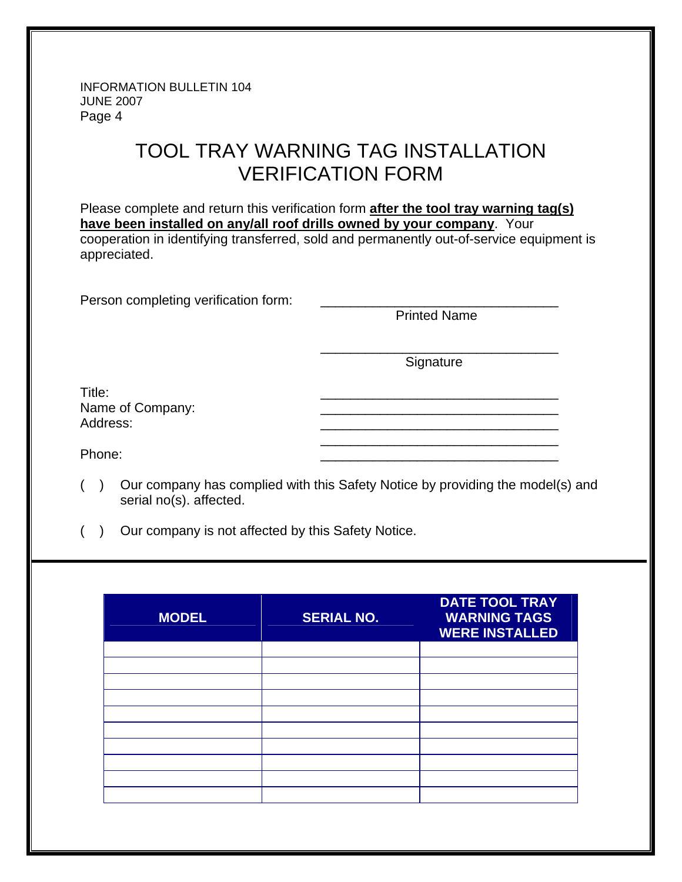INFORMATION BULLETIN 104 JUNE 2007 Page 4

# TOOL TRAY WARNING TAG INSTALLATION VERIFICATION FORM

Please complete and return this verification form **after the tool tray warning tag(s) have been installed on any/all roof drills owned by your company**. Your cooperation in identifying transferred, sold and permanently out-of-service equipment is appreciated.

 $\frac{1}{\sqrt{2\pi}}$  , which is a set of the set of the set of the set of the set of the set of the set of the set of the set of the set of the set of the set of the set of the set of the set of the set of the set of the set of

Person completing verification form:

Printed Name

**Signature** 

Title: \_\_\_\_\_\_\_\_\_\_\_\_\_\_\_\_\_\_\_\_\_\_\_\_\_\_\_\_\_\_\_\_ Name of Company:<br>Address: Address: \_\_\_\_\_\_\_\_\_\_\_\_\_\_\_\_\_\_\_\_\_\_\_\_\_\_\_\_\_\_\_\_

 $\frac{1}{\sqrt{2\pi}}$  , which is a set of the set of the set of the set of the set of the set of the set of the set of the set of the set of the set of the set of the set of the set of the set of the set of the set of the set of Phone: \_\_\_\_\_\_\_\_\_\_\_\_\_\_\_\_\_\_\_\_\_\_\_\_\_\_\_\_\_\_\_\_

- ( ) Our company has complied with this Safety Notice by providing the model(s) and serial no(s). affected.
- ( ) Our company is not affected by this Safety Notice.

| <b>MODEL</b> | <b>SERIAL NO.</b> | <b>DATE TOOL TRAY</b><br><b>WARNING TAGS</b><br><b>WERE INSTALLED</b> |
|--------------|-------------------|-----------------------------------------------------------------------|
|              |                   |                                                                       |
|              |                   |                                                                       |
|              |                   |                                                                       |
|              |                   |                                                                       |
|              |                   |                                                                       |
|              |                   |                                                                       |
|              |                   |                                                                       |
|              |                   |                                                                       |
|              |                   |                                                                       |
|              |                   |                                                                       |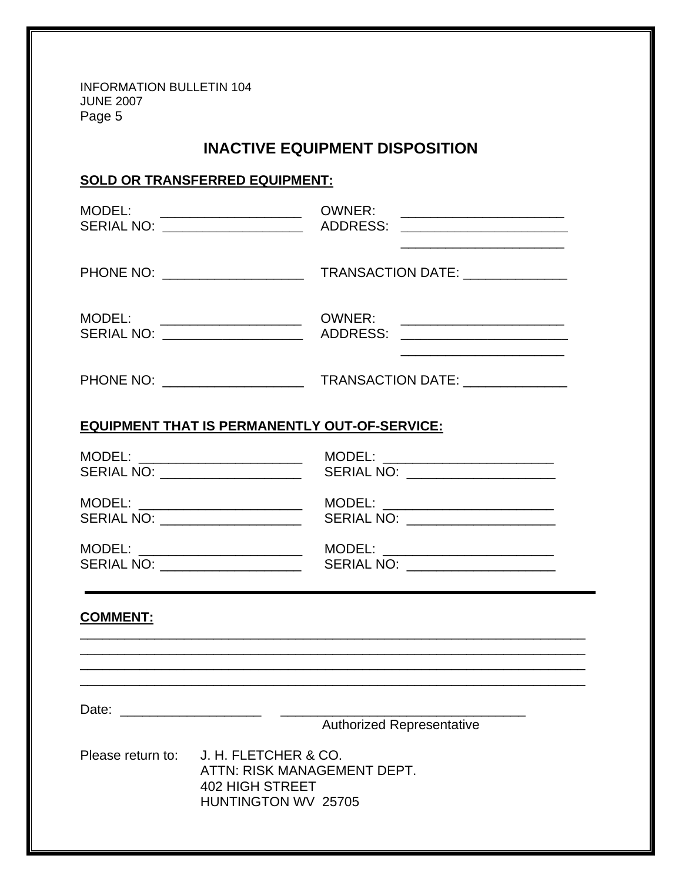INFORMATION BULLETIN 104 JUNE 2007 Page 5

### **INACTIVE EQUIPMENT DISPOSITION**

### **SOLD OR TRANSFERRED EQUIPMENT:**

| MODEL: _____________________<br>SERIAL NO: ___________________                                                            | <b>OWNER:</b><br><u> 2000 - Jan James James Barnett, militar filosofoar (h. 1918).</u><br>ADDRESS: |  |  |
|---------------------------------------------------------------------------------------------------------------------------|----------------------------------------------------------------------------------------------------|--|--|
| PHONE NO: ____________________                                                                                            | TRANSACTION DATE: ______________                                                                   |  |  |
| MODEL:<br>SERIAL NO: ____________________                                                                                 | OWNER:                                                                                             |  |  |
|                                                                                                                           |                                                                                                    |  |  |
| <b>EQUIPMENT THAT IS PERMANENTLY OUT-OF-SERVICE:</b>                                                                      |                                                                                                    |  |  |
| MODEL: _________________________<br>SERIAL NO: ___________________                                                        | MODEL: _________________________<br>SERIAL NO: _____________________                               |  |  |
| MODEL: _________________________<br>SERIAL NO: ___________________                                                        | MODEL: _________________________<br>SERIAL NO: _____________________                               |  |  |
| MODEL: _________________________<br>SERIAL NO: ____________________                                                       | MODEL: _________________________<br>SERIAL NO: ___________________                                 |  |  |
| <b>COMMENT:</b>                                                                                                           |                                                                                                    |  |  |
|                                                                                                                           | <u> 1989 - Johann Stoff, amerikansk politiker (d. 1989)</u>                                        |  |  |
| Date:                                                                                                                     | <b>Authorized Representative</b>                                                                   |  |  |
| J. H. FLETCHER & CO.<br>Please return to:<br>ATTN: RISK MANAGEMENT DEPT.<br><b>402 HIGH STREET</b><br>HUNTINGTON WV 25705 |                                                                                                    |  |  |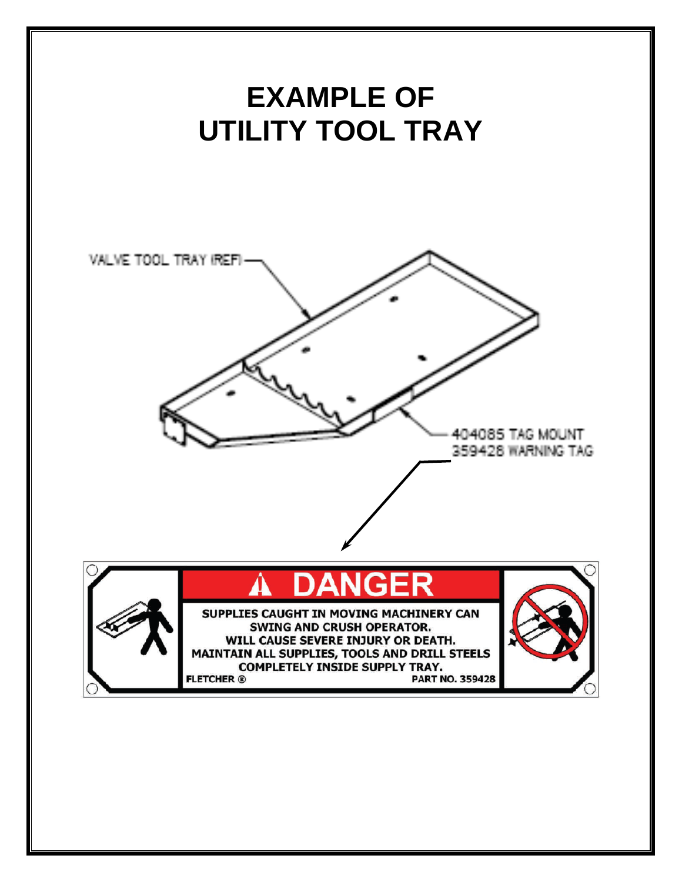